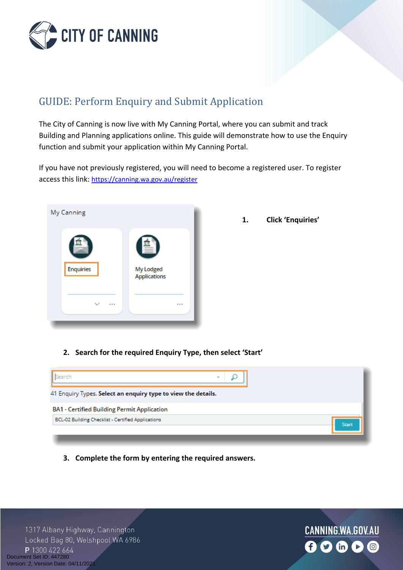

# GUIDE: Perform Enquiry and Submit Application

The City of Canning is now live with My Canning Portal, where you can submit and track Building and Planning applications online. This guide will demonstrate how to use the Enquiry function and submit your application within My Canning Portal.

If you have not previously registered, you will need to become a registered user. To register access this link: <https://canning.wa.gov.au/register>



**1. Click 'Enquiries'**

**2. Search for the required Enquiry Type, then select 'Start'** 



**3. Complete the form by entering the required answers.** 

1317 Albany Highway, Cannington Locked Bag 80, Welshpool WA 6986 P 1300 422 664 Document Set ID: 447280<br>Version: 2, Version Date: 04/11/2021

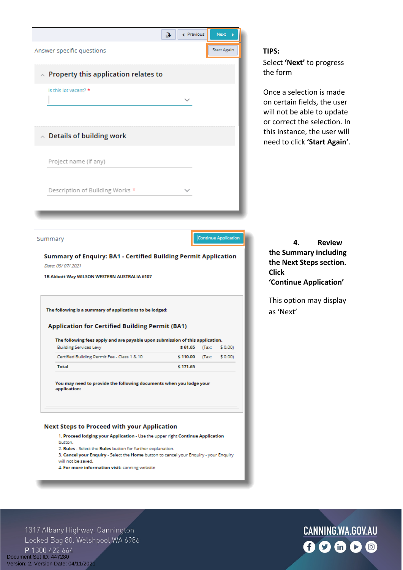

4. For more information visit: canning website

1317 Albany Highway, Cannington Locked Bag 80, Welshpool WA 6986 P 1300 422 664 Document Set ID: 447280<br>Version: 2, Version Date: 04/11/2021

# CANNING.WA.GOV.AU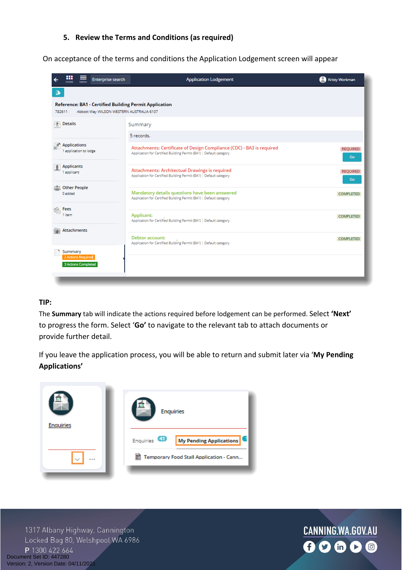### **5. Review the Terms and Conditions (as required)**

On acceptance of the terms and conditions the Application Lodgement screen will appear

| ₩<br>Enterprise search                                                                                             | <b>Application Lodgement</b>                                                                                                                | Kristy Workman         |
|--------------------------------------------------------------------------------------------------------------------|---------------------------------------------------------------------------------------------------------------------------------------------|------------------------|
| $\mathbf{a}$                                                                                                       |                                                                                                                                             |                        |
| <b>Reference: BA1 - Certified Building Permit Application</b><br>782611   Abbott Way WILSON WESTERN AUSTRALIA 6107 |                                                                                                                                             |                        |
| 喇<br>Details                                                                                                       | Summary                                                                                                                                     |                        |
|                                                                                                                    | 5 records.                                                                                                                                  |                        |
| <b>Applications</b><br>1 application to lodge                                                                      | Attachments: Certificate of Design Compliance (CDC) - BA3 is required<br>Application for Certified Building Permit (BA1)   Default category | <b>REQUIRED</b><br>Go  |
| <b>Applicants</b><br>1 applicant                                                                                   | Attachments: Architectual Drawings is required<br>Application for Certified Building Permit (BA1)   Default category                        | <b>REQUIRED</b><br>Go. |
| <b>Other People</b><br>0 added                                                                                     | Mandatory details questions have been answered<br>Application for Certified Building Permit (BA1)   Default category                        | <b>COMPLETED</b>       |
| <b>Example Fees</b><br>1 item                                                                                      | Applicant:<br>Application for Certified Building Permit (BA1)   Default category                                                            | <b>COMPLETED</b>       |
| Attachments                                                                                                        | Debtor account:<br>Application for Certified Building Permit (BA1)   Default category                                                       | <b>COMPLETED</b>       |
| Summary<br>2 Actions Required<br>3 Actions Completed                                                               |                                                                                                                                             |                        |

#### **TIP:**

The **Summary** tab will indicate the actions required before lodgement can be performed. Select **'Next'** to progress the form. Select '**Go'** to navigate to the relevant tab to attach documents or provide further detail.

If you leave the application process, you will be able to return and submit later via '**My Pending Applications'**



1317 Albany Highway, Cannington Locked Bag 80, Welshpool WA 6986 P 1300 422 664 Document Set ID: 447280<br>Version: 2, Version Date: 04/11/2021